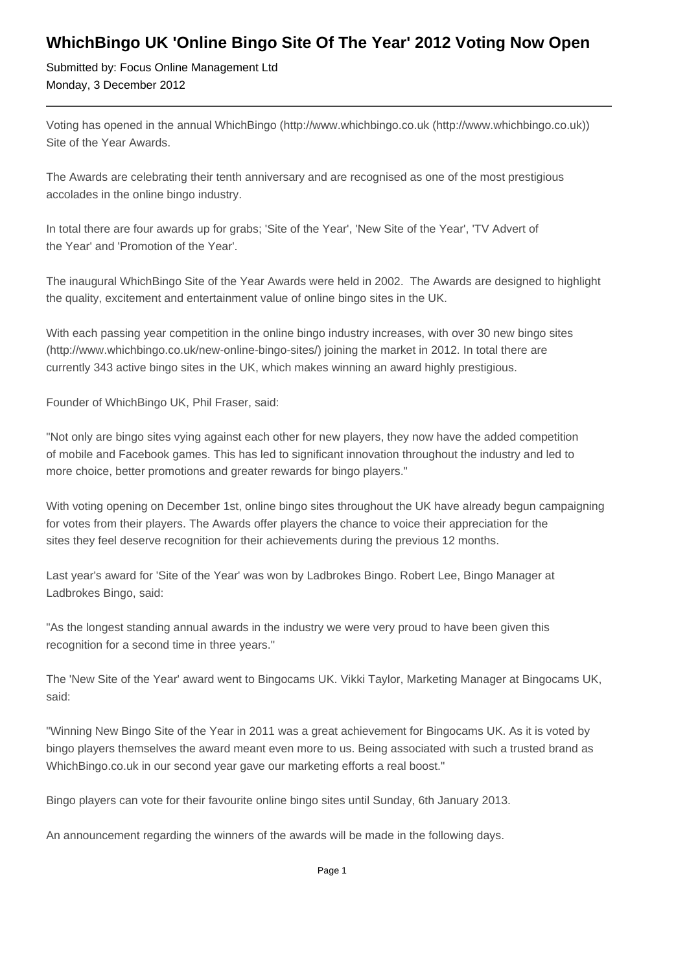## **WhichBingo UK 'Online Bingo Site Of The Year' 2012 Voting Now Open**

Submitted by: Focus Online Management Ltd Monday, 3 December 2012

Voting has opened in the annual WhichBingo (http://www.whichbingo.co.uk (http://www.whichbingo.co.uk)) Site of the Year Awards.

The Awards are celebrating their tenth anniversary and are recognised as one of the most prestigious accolades in the online bingo industry.

In total there are four awards up for grabs; 'Site of the Year', 'New Site of the Year', 'TV Advert of the Year' and 'Promotion of the Year'.

The inaugural WhichBingo Site of the Year Awards were held in 2002. The Awards are designed to highlight the quality, excitement and entertainment value of online bingo sites in the UK.

With each passing year competition in the online bingo industry increases, with over 30 new bingo sites (http://www.whichbingo.co.uk/new-online-bingo-sites/) joining the market in 2012. In total there are currently 343 active bingo sites in the UK, which makes winning an award highly prestigious.

Founder of WhichBingo UK, Phil Fraser, said:

"Not only are bingo sites vying against each other for new players, they now have the added competition of mobile and Facebook games. This has led to significant innovation throughout the industry and led to more choice, better promotions and greater rewards for bingo players."

With voting opening on December 1st, online bingo sites throughout the UK have already begun campaigning for votes from their players. The Awards offer players the chance to voice their appreciation for the sites they feel deserve recognition for their achievements during the previous 12 months.

Last year's award for 'Site of the Year' was won by Ladbrokes Bingo. Robert Lee, Bingo Manager at Ladbrokes Bingo, said:

"As the longest standing annual awards in the industry we were very proud to have been given this recognition for a second time in three years."

The 'New Site of the Year' award went to Bingocams UK. Vikki Taylor, Marketing Manager at Bingocams UK, said:

"Winning New Bingo Site of the Year in 2011 was a great achievement for Bingocams UK. As it is voted by bingo players themselves the award meant even more to us. Being associated with such a trusted brand as WhichBingo.co.uk in our second year gave our marketing efforts a real boost."

Bingo players can vote for their favourite online bingo sites until Sunday, 6th January 2013.

An announcement regarding the winners of the awards will be made in the following days.